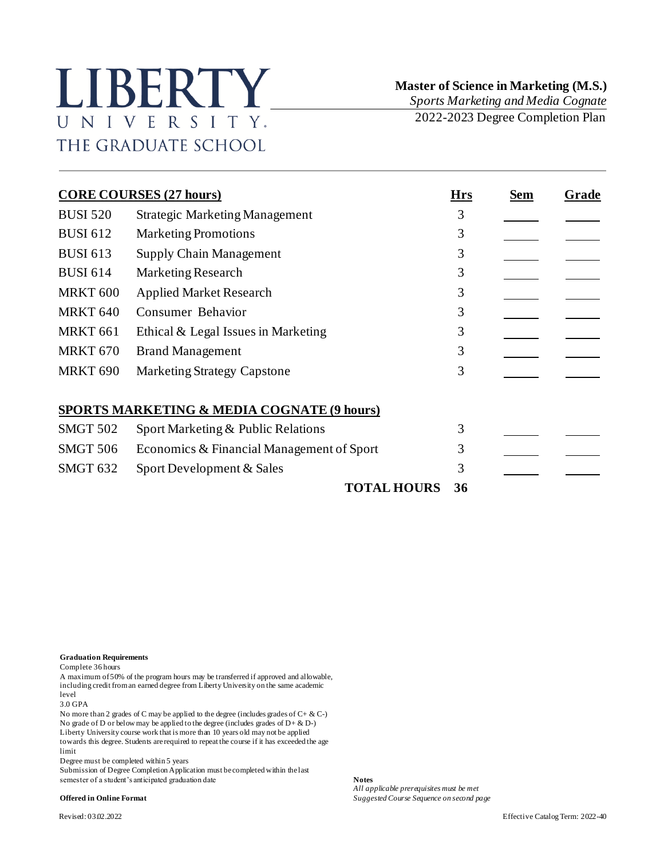## LIBERTY UNIVERSITY. THE GRADUATE SCHOOL

 **Master of Science in Marketing (M.S.)**

*Sports Marketing and Media Cognate* 2022-2023 Degree Completion Plan

**CORE COURSES (27 hours) Hrs Sem Grade** BUSI 520 Strategic Marketing Management 3 BUSI 612 Marketing Promotions 3 BUSI 613 Supply Chain Management 3 BUSI 614 Marketing Research 3 MRKT 600 Applied Market Research 3 MRKT 640 Consumer Behavior 3 MRKT 661 Ethical & Legal Issues in Marketing 3 MRKT 670 Brand Management 3 MRKT 690 Marketing Strategy Capstone 3 **SPORTS MARKETING & MEDIA COGNATE (9 hours)** SMGT 502 Sport Marketing & Public Relations 3 SMGT 506 Economics & Financial Management of Sport 3 SMGT 632 Sport Development & Sales 3 **TOTAL HOURS 36**

## **Graduation Requirements**

Complete 36 hours

A maximum of 50% of the program hours may be transferred if approved and allowable, including credit from an earned degree from Liberty University on the same academic level

3.0 GPA

No more than 2 grades of C may be applied to the degree (includes grades of C+ & C-) No grade of D or below may be applied to the degree (includes grades of D+ & D-) Liberty University course work that is more than 10 years old may not be applied towards this degree. Students are required to repeat the course if it has exceeded the age limit

Degree must be completed within 5 years

Submission of Degree Completion Application must be completed within the last semester of a student's anticipated graduation date **Notes**

*All applicable prerequisites must be met* **Offered in Online Format** *Suggested Course Sequence on second page*